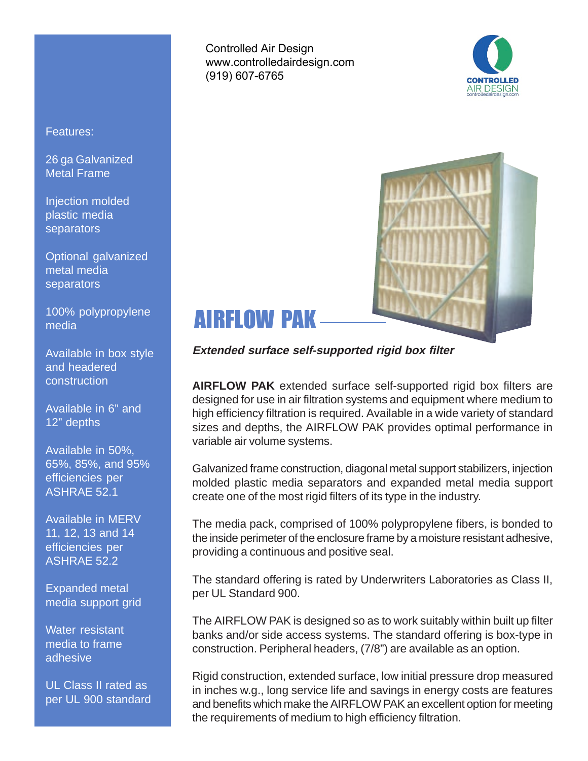Controlled Air Design www.controlledairdesign.com (919) 607-6765





# AIRFLOW PAK

**Extended surface self-supported rigid box filter**

**AIRFLOW PAK** extended surface self-supported rigid box filters are designed for use in air filtration systems and equipment where medium to high efficiency filtration is required. Available in a wide variety of standard sizes and depths, the AIRFLOW PAK provides optimal performance in variable air volume systems.

Galvanized frame construction, diagonal metal support stabilizers, injection molded plastic media separators and expanded metal media support create one of the most rigid filters of its type in the industry.

The media pack, comprised of 100% polypropylene fibers, is bonded to the inside perimeter of the enclosure frame by a moisture resistant adhesive, providing a continuous and positive seal.

The standard offering is rated by Underwriters Laboratories as Class II, per UL Standard 900.

The AIRFLOW PAK is designed so as to work suitably within built up filter banks and/or side access systems. The standard offering is box-type in construction. Peripheral headers, (7/8") are available as an option.

Rigid construction, extended surface, low initial pressure drop measured in inches w.g., long service life and savings in energy costs are features and benefits which make the AIRFLOW PAK an excellent option for meeting the requirements of medium to high efficiency filtration.

### Features:

26 ga Galvanized Metal Frame

Injection molded plastic media **separators** 

Optional galvanized metal media separators

100% polypropylene media

Available in box style and headered construction

Available in 6" and 12" depths

Available in 50%, 65%, 85%, and 95% efficiencies per ASHRAE 52.1

Available in MERV 11, 12, 13 and 14 efficiencies per ASHRAE 52.2

Expanded metal media support grid

Water resistant media to frame adhesive

UL Class II rated as per UL 900 standard